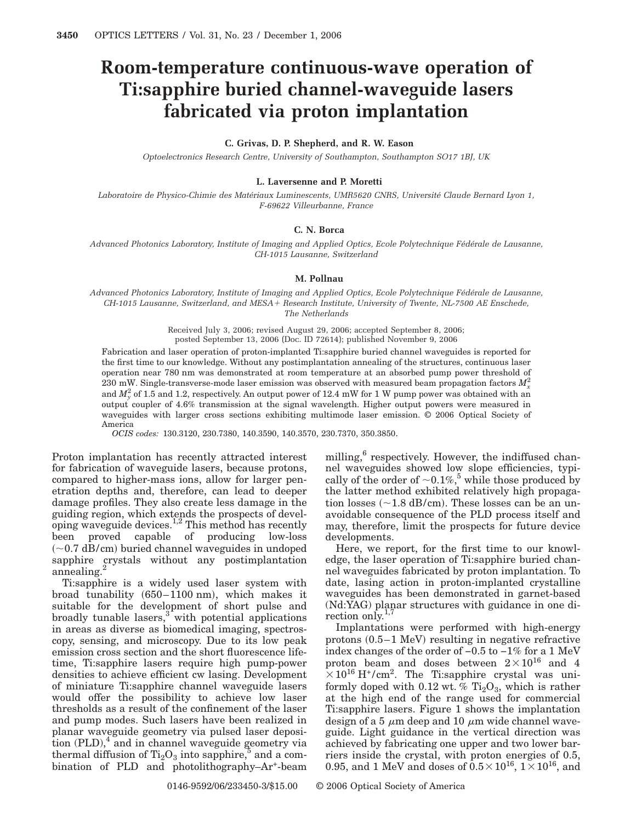# **Room-temperature continuous-wave operation of Ti:sapphire buried channel-waveguide lasers fabricated via proton implantation**

# **C. Grivas, D. P. Shepherd, and R. W. Eason**

*Optoelectronics Research Centre, University of Southampton, Southampton SO17 1BJ, UK*

# **L. Laversenne and P. Moretti**

*Laboratoire de Physico-Chimie des Matériaux Luminescents, UMR5620 CNRS, Université Claude Bernard Lyon 1, F-69622 Villeurbanne, France*

# **C. N. Borca**

*Advanced Photonics Laboratory, Institute of Imaging and Applied Optics, Ecole Polytechnique Fédérale de Lausanne, CH-1015 Lausanne, Switzerland*

#### **M. Pollnau**

*Advanced Photonics Laboratory, Institute of Imaging and Applied Optics, Ecole Polytechnique Fédérale de Lausanne, CH-1015 Lausanne, Switzerland, and MESA Research Institute, University of Twente, NL-7500 AE Enschede, The Netherlands*

> Received July 3, 2006; revised August 29, 2006; accepted September 8, 2006; posted September 13, 2006 (Doc. ID 72614); published November 9, 2006

Fabrication and laser operation of proton-implanted Ti:sapphire buried channel waveguides is reported for the first time to our knowledge. Without any postimplantation annealing of the structures, continuous laser operation near 780 nm was demonstrated at room temperature at an absorbed pump power threshold of  $230$  mW. Single-transverse-mode laser emission was observed with measured beam propagation factors  $M_x^2$ and  $M_{\gamma}^2$  of 1.5 and 1.2, respectively. An output power of 12.4 mW for 1 W pump power was obtained with an output coupler of 4.6% transmission at the signal wavelength. Higher output powers were measured in waveguides with larger cross sections exhibiting multimode laser emission. © 2006 Optical Society of America

*OCIS codes:* 130.3120, 230.7380, 140.3590, 140.3570, 230.7370, 350.3850.

Proton implantation has recently attracted interest for fabrication of waveguide lasers, because protons, compared to higher-mass ions, allow for larger penetration depths and, therefore, can lead to deeper damage profiles. They also create less damage in the guiding region, which extends the prospects of developing waveguide devices.<sup>1,2</sup> This method has recently been proved capable of producing low-loss  $(\sim]0.7$  dB/cm) buried channel waveguides in undoped sapphire crystals without any postimplantation annealing.

Ti:sapphire is a widely used laser system with broad tunability 650–1100 nm, which makes it suitable for the development of short pulse and broadly tunable lasers, $3$  with potential applications in areas as diverse as biomedical imaging, spectroscopy, sensing, and microscopy. Due to its low peak emission cross section and the short fluorescence lifetime, Ti:sapphire lasers require high pump-power densities to achieve efficient cw lasing. Development of miniature Ti:sapphire channel waveguide lasers would offer the possibility to achieve low laser thresholds as a result of the confinement of the laser and pump modes. Such lasers have been realized in planar waveguide geometry via pulsed laser deposition  $(PLD)$ , and in channel waveguide geometry via thermal diffusion of  $Ti<sub>2</sub>O<sub>3</sub>$  into sapphire,<sup>5</sup> and a combination of PLD and photolithography–Ar<sup>+</sup>-beam

milling, $6$  respectively. However, the indiffused channel waveguides showed low slope efficiencies, typically of the order of  $\sim 0.1\%$ ,<sup>5</sup> while those produced by the latter method exhibited relatively high propagation losses  $(\sim 1.8$  dB/cm). These losses can be an unavoidable consequence of the PLD process itself and may, therefore, limit the prospects for future device developments.

Here, we report, for the first time to our knowledge, the laser operation of Ti:sapphire buried channel waveguides fabricated by proton implantation. To date, lasing action in proton-implanted crystalline waveguides has been demonstrated in garnet-based (Nd:YAG) planar structures with guidance in one direction only. $1,7$ 

Implantations were performed with high-energy protons  $(0.5-1 \text{ MeV})$  resulting in negative refractive index changes of the order of −0.5 to −1% for a 1 MeV proton beam and doses between  $2 \times 10^{16}$  and 4  $\times 10^{16}$  H<sup>+</sup>/cm<sup>2</sup>. The Ti:sapphire crystal was uniformly doped with 0.12 wt. %  $Ti<sub>2</sub>O<sub>3</sub>$ , which is rather at the high end of the range used for commercial Ti:sapphire lasers. Figure 1 shows the implantation design of a 5  $\mu$ m deep and 10  $\mu$ m wide channel waveguide. Light guidance in the vertical direction was achieved by fabricating one upper and two lower barriers inside the crystal, with proton energies of 0.5, 0.95, and 1 MeV and doses of  $0.5 \times 10^{16}$ ,  $1 \times 10^{16}$ , and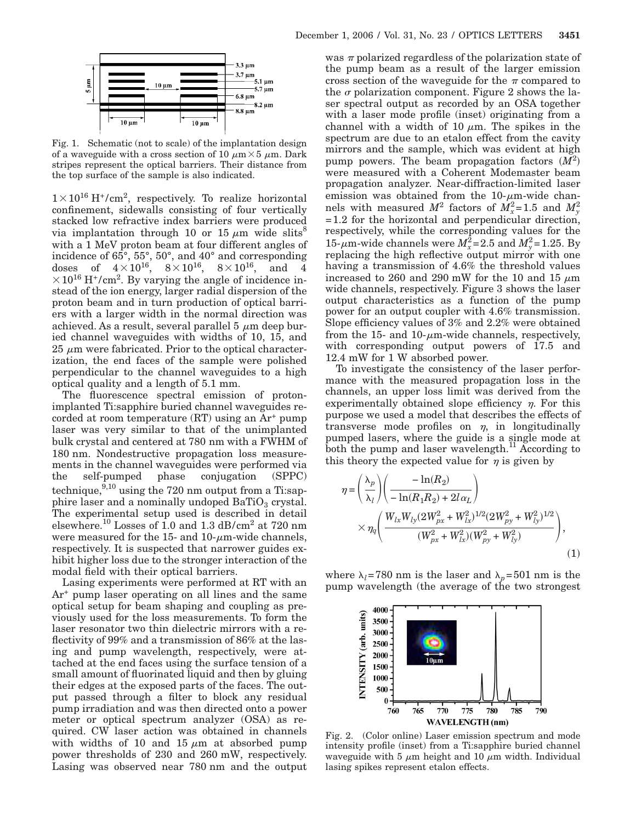

Fig. 1. Schematic (not to scale) of the implantation design of a waveguide with a cross section of 10  $\mu$ m $\times$ 5  $\mu$ m. Dark stripes represent the optical barriers. Their distance from the top surface of the sample is also indicated.

 $1 \times 10^{16}$  H<sup>+</sup>/cm<sup>2</sup>, respectively. To realize horizontal confinement, sidewalls consisting of four vertically stacked low refractive index barriers were produced via implantation through 10 or 15  $\mu$ m wide slits<sup>8</sup> with a 1 MeV proton beam at four different angles of incidence of 65°, 55°, 50°, and 40° and corresponding  $\mathrm{doses} \quad \mathrm{of} \quad 4\!\times\!10^{16}, \quad 8\!\times\!10^{16}, \quad 8\!\times\!10^{16}, \quad \mathrm{and} \quad 4$  $\times$  10<sup>16</sup> H<sup>+</sup>/cm<sup>2</sup>. By varying the angle of incidence instead of the ion energy, larger radial dispersion of the proton beam and in turn production of optical barriers with a larger width in the normal direction was achieved. As a result, several parallel  $5 \mu m$  deep buried channel waveguides with widths of 10, 15, and  $25 \mu m$  were fabricated. Prior to the optical characterization, the end faces of the sample were polished perpendicular to the channel waveguides to a high optical quality and a length of 5.1 mm.

The fluorescence spectral emission of protonimplanted Ti:sapphire buried channel waveguides recorded at room temperature  $(RT)$  using an  $Ar^+$  pump laser was very similar to that of the unimplanted bulk crystal and centered at 780 nm with a FWHM of 180 nm. Nondestructive propagation loss measurements in the channel waveguides were performed via the self-pumped phase conjugation (SPPC) technique, $9,10$  using the 720 nm output from a Ti:sapphire laser and a nominally undoped  $BaTiO<sub>3</sub>$  crystal. The experimental setup used is described in detail elsewhere.10 Losses of 1.0 and 1.3 dB/cm2 at 720 nm were measured for the 15- and 10- $\mu$ m-wide channels, respectively. It is suspected that narrower guides exhibit higher loss due to the stronger interaction of the modal field with their optical barriers.

Lasing experiments were performed at RT with an  $Ar<sup>+</sup>$  pump laser operating on all lines and the same optical setup for beam shaping and coupling as previously used for the loss measurements. To form the laser resonator two thin dielectric mirrors with a reflectivity of 99% and a transmission of 86% at the lasing and pump wavelength, respectively, were attached at the end faces using the surface tension of a small amount of fluorinated liquid and then by gluing their edges at the exposed parts of the faces. The output passed through a filter to block any residual pump irradiation and was then directed onto a power meter or optical spectrum analyzer (OSA) as required. CW laser action was obtained in channels with widths of 10 and 15  $\mu$ m at absorbed pump power thresholds of 230 and 260 mW, respectively. Lasing was observed near 780 nm and the output was  $\pi$  polarized regardless of the polarization state of the pump beam as a result of the larger emission cross section of the waveguide for the  $\pi$  compared to the  $\sigma$  polarization component. Figure 2 shows the laser spectral output as recorded by an OSA together with a laser mode profile (inset) originating from a channel with a width of 10  $\mu$ m. The spikes in the spectrum are due to an etalon effect from the cavity mirrors and the sample, which was evident at high pump powers. The beam propagation factors  $(M^2)$ were measured with a Coherent Modemaster beam propagation analyzer. Near-diffraction-limited laser emission was obtained from the  $10$ - $\mu$ m-wide channels with measured  $M^2$  factors of  $M_x^2$ =1.5 and  $M_y^2$ =1.2 for the horizontal and perpendicular direction, respectively, while the corresponding values for the 15- $\mu$ m-wide channels were  $M_x^2$ =2.5 and  $M_y^2$ =1.25. By replacing the high reflective output mirror with one having a transmission of 4.6% the threshold values increased to 260 and 290 mW for the 10 and 15  $\mu$ m wide channels, respectively. Figure 3 shows the laser output characteristics as a function of the pump power for an output coupler with 4.6% transmission. Slope efficiency values of 3% and 2.2% were obtained from the 15- and 10- $\mu$ m-wide channels, respectively, with corresponding output powers of 17.5 and 12.4 mW for 1 W absorbed power.

To investigate the consistency of the laser performance with the measured propagation loss in the channels, an upper loss limit was derived from the experimentally obtained slope efficiency  $\eta$ . For this purpose we used a model that describes the effects of transverse mode profiles on  $\eta$ , in longitudinally pumped lasers, where the guide is a single mode at both the pump and laser wavelength.<sup>11</sup> According to this theory the expected value for  $\eta$  is given by

$$
\eta = \left(\frac{\lambda_p}{\lambda_l}\right) \left(\frac{-\ln(R_2)}{-\ln(R_1 R_2) + 2l\alpha_L}\right) \times \eta_q \left(\frac{W_{lx} W_{ly} (2W_{px}^2 + W_{lx}^2)^{1/2} (2W_{py}^2 + W_{ly}^2)^{1/2}}{(W_{px}^2 + W_{lx}^2)(W_{py}^2 + W_{ly}^2)}\right),
$$
\n(1)

where  $\lambda_l$ =780 nm is the laser and  $\lambda_p$ =501 nm is the pump wavelength (the average of the two strongest



Fig. 2. (Color online) Laser emission spectrum and mode intensity profile (inset) from a Ti:sapphire buried channel waveguide with 5  $\mu$ m height and 10  $\mu$ m width. Individual lasing spikes represent etalon effects.